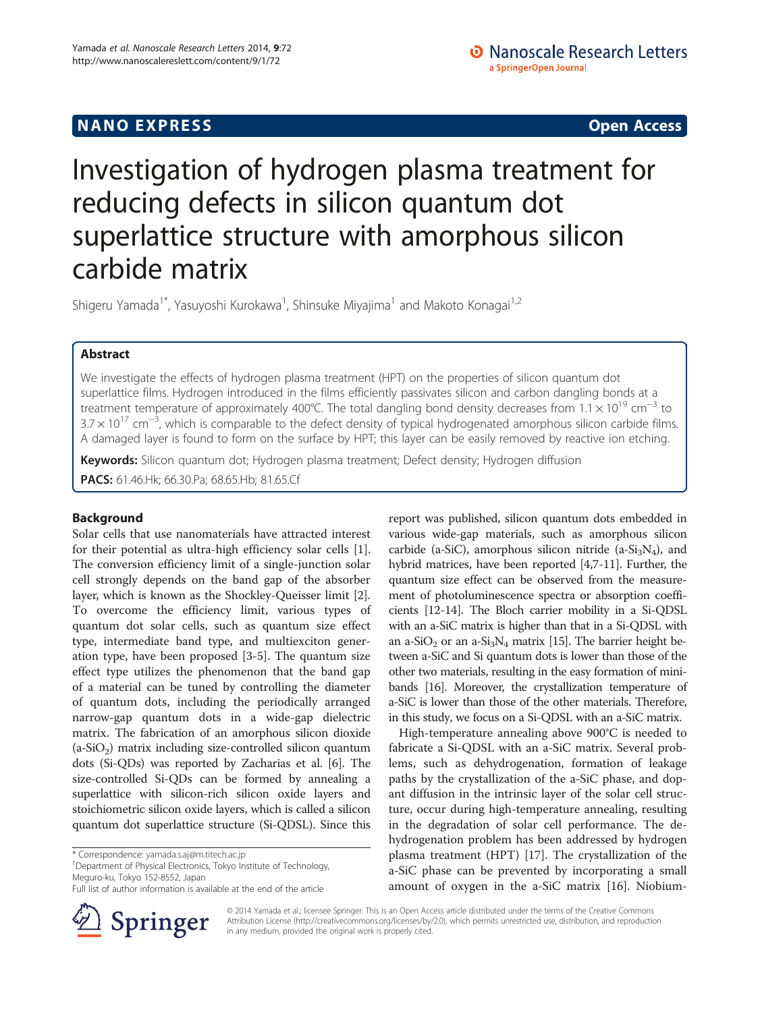## **NANO EXPRESS** Open Access and the set of the set of the set of the set of the set of the set of the set of the set of the set of the set of the set of the set of the set of the set of the set of the set of the set of the

# Investigation of hydrogen plasma treatment for reducing defects in silicon quantum dot superlattice structure with amorphous silicon carbide matrix

Shigeru Yamada<sup>1\*</sup>, Yasuyoshi Kurokawa<sup>1</sup>, Shinsuke Miyajima<sup>1</sup> and Makoto Konagai<sup>1,2</sup>

## Abstract

We investigate the effects of hydrogen plasma treatment (HPT) on the properties of silicon quantum dot superlattice films. Hydrogen introduced in the films efficiently passivates silicon and carbon dangling bonds at a treatment temperature of approximately 400°C. The total dangling bond density decreases from  $1.1 \times 10^{19}$  cm<sup>-3</sup> to 3.7 × 10<sup>17</sup> cm<sup>−3</sup>, which is comparable to the defect density of typical hydrogenated amorphous silicon carbide films. A damaged layer is found to form on the surface by HPT; this layer can be easily removed by reactive ion etching.

Keywords: Silicon quantum dot; Hydrogen plasma treatment; Defect density; Hydrogen diffusion

PACS: 61.46.Hk; 66.30.Pa; 68.65.Hb; 81.65.Cf

## Background

Solar cells that use nanomaterials have attracted interest for their potential as ultra-high efficiency solar cells [\[1](#page-6-0)]. The conversion efficiency limit of a single-junction solar cell strongly depends on the band gap of the absorber layer, which is known as the Shockley-Queisser limit [\[2](#page-6-0)]. To overcome the efficiency limit, various types of quantum dot solar cells, such as quantum size effect type, intermediate band type, and multiexciton generation type, have been proposed [\[3-5](#page-6-0)]. The quantum size effect type utilizes the phenomenon that the band gap of a material can be tuned by controlling the diameter of quantum dots, including the periodically arranged narrow-gap quantum dots in a wide-gap dielectric matrix. The fabrication of an amorphous silicon dioxide  $(a-SiO<sub>2</sub>)$  matrix including size-controlled silicon quantum dots (Si-QDs) was reported by Zacharias et al. [\[6](#page-6-0)]. The size-controlled Si-QDs can be formed by annealing a superlattice with silicon-rich silicon oxide layers and stoichiometric silicon oxide layers, which is called a silicon quantum dot superlattice structure (Si-QDSL). Since this

<sup>1</sup>Department of Physical Electronics, Tokyo Institute of Technology, Meguro-ku, Tokyo 152-8552, Japan

Full list of author information is available at the end of the article



report was published, silicon quantum dots embedded in various wide-gap materials, such as amorphous silicon carbide (a-SiC), amorphous silicon nitride (a-Si<sub>3</sub>N<sub>4</sub>), and hybrid matrices, have been reported [[4,7-11\]](#page-6-0). Further, the quantum size effect can be observed from the measurement of photoluminescence spectra or absorption coefficients [[12](#page-6-0)-[14](#page-6-0)]. The Bloch carrier mobility in a Si-QDSL with an a-SiC matrix is higher than that in a Si-QDSL with an a-SiO<sub>2</sub> or an a-Si<sub>3</sub>N<sub>4</sub> matrix [\[15\]](#page-7-0). The barrier height between a-SiC and Si quantum dots is lower than those of the other two materials, resulting in the easy formation of minibands [\[16](#page-7-0)]. Moreover, the crystallization temperature of a-SiC is lower than those of the other materials. Therefore, in this study, we focus on a Si-QDSL with an a-SiC matrix.

High-temperature annealing above 900°C is needed to fabricate a Si-QDSL with an a-SiC matrix. Several problems, such as dehydrogenation, formation of leakage paths by the crystallization of the a-SiC phase, and dopant diffusion in the intrinsic layer of the solar cell structure, occur during high-temperature annealing, resulting in the degradation of solar cell performance. The dehydrogenation problem has been addressed by hydrogen plasma treatment (HPT) [\[17](#page-7-0)]. The crystallization of the a-SiC phase can be prevented by incorporating a small amount of oxygen in the a-SiC matrix [[16\]](#page-7-0). Niobium-

© 2014 Yamada et al.; licensee Springer. This is an Open Access article distributed under the terms of the Creative Commons Attribution License [\(http://creativecommons.org/licenses/by/2.0\)](http://creativecommons.org/licenses/by/2.0), which permits unrestricted use, distribution, and reproduction in any medium, provided the original work is properly cited.

<sup>\*</sup> Correspondence: [yamada.s.aj@m.titech.ac.jp](mailto:yamada.s.aj@m.titech.ac.jp) <sup>1</sup>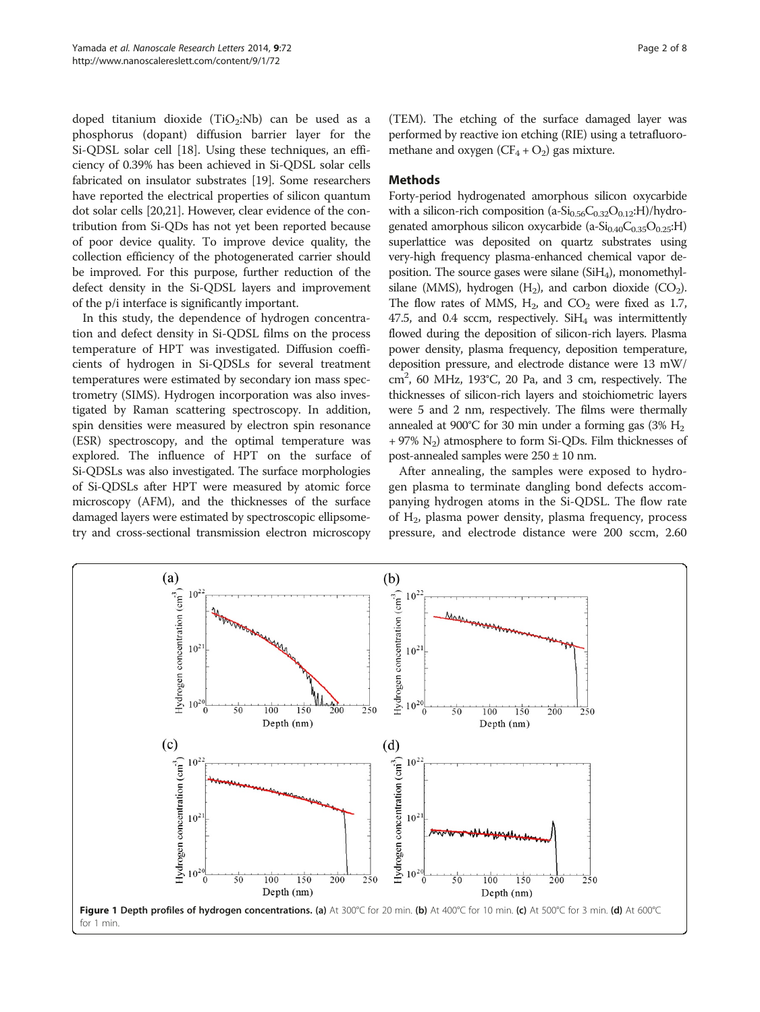<span id="page-1-0"></span>doped titanium dioxide (TiO<sub>2</sub>:Nb) can be used as a phosphorus (dopant) diffusion barrier layer for the Si-QDSL solar cell [\[18\]](#page-7-0). Using these techniques, an efficiency of 0.39% has been achieved in Si-QDSL solar cells fabricated on insulator substrates [\[19](#page-7-0)]. Some researchers have reported the electrical properties of silicon quantum dot solar cells [[20,21](#page-7-0)]. However, clear evidence of the contribution from Si-QDs has not yet been reported because of poor device quality. To improve device quality, the collection efficiency of the photogenerated carrier should be improved. For this purpose, further reduction of the defect density in the Si-QDSL layers and improvement of the p/i interface is significantly important.

In this study, the dependence of hydrogen concentration and defect density in Si-QDSL films on the process temperature of HPT was investigated. Diffusion coefficients of hydrogen in Si-QDSLs for several treatment temperatures were estimated by secondary ion mass spectrometry (SIMS). Hydrogen incorporation was also investigated by Raman scattering spectroscopy. In addition, spin densities were measured by electron spin resonance (ESR) spectroscopy, and the optimal temperature was explored. The influence of HPT on the surface of Si-QDSLs was also investigated. The surface morphologies of Si-QDSLs after HPT were measured by atomic force microscopy (AFM), and the thicknesses of the surface damaged layers were estimated by spectroscopic ellipsometry and cross-sectional transmission electron microscopy

(TEM). The etching of the surface damaged layer was performed by reactive ion etching (RIE) using a tetrafluoromethane and oxygen  $(CF_4 + O_2)$  gas mixture.

## Methods

Forty-period hydrogenated amorphous silicon oxycarbide with a silicon-rich composition (a- $Si<sub>0.56</sub>C<sub>0.32</sub>O<sub>0.12</sub>$ :H)/hydrogenated amorphous silicon oxycarbide (a- $Si<sub>0.40</sub>C<sub>0.35</sub>O<sub>0.25</sub>$ :H) superlattice was deposited on quartz substrates using very-high frequency plasma-enhanced chemical vapor deposition. The source gases were silane  $(SiH<sub>4</sub>)$ , monomethylsilane (MMS), hydrogen  $(H_2)$ , and carbon dioxide  $(CO_2)$ . The flow rates of MMS,  $H_2$ , and  $CO_2$  were fixed as 1.7, 47.5, and 0.4 sccm, respectively. SiH<sub>4</sub> was intermittently flowed during the deposition of silicon-rich layers. Plasma power density, plasma frequency, deposition temperature, deposition pressure, and electrode distance were 13 mW/ cm2 , 60 MHz, 193°C, 20 Pa, and 3 cm, respectively. The thicknesses of silicon-rich layers and stoichiometric layers were 5 and 2 nm, respectively. The films were thermally annealed at 900°C for 30 min under a forming gas  $(3\% H_2)$  $+ 97\%$  N<sub>2</sub>) atmosphere to form Si-QDs. Film thicknesses of post-annealed samples were 250 ± 10 nm.

After annealing, the samples were exposed to hydrogen plasma to terminate dangling bond defects accompanying hydrogen atoms in the Si-QDSL. The flow rate of  $H_2$ , plasma power density, plasma frequency, process pressure, and electrode distance were 200 sccm, 2.60

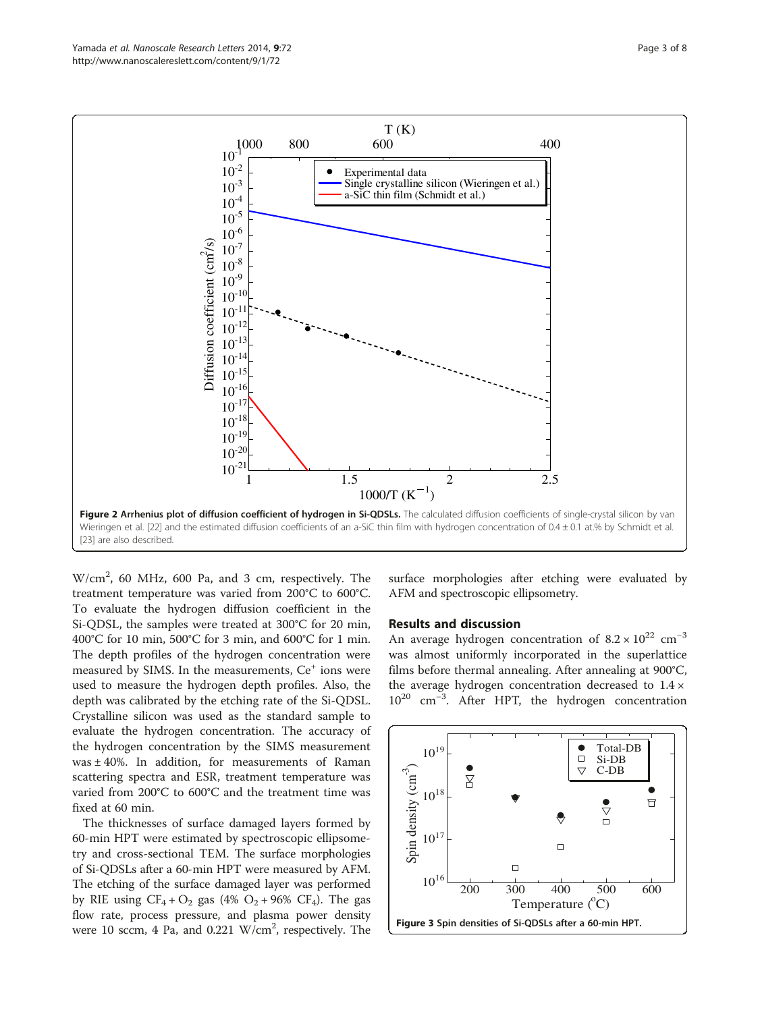<span id="page-2-0"></span>

W/cm<sup>2</sup> , 60 MHz, 600 Pa, and 3 cm, respectively. The treatment temperature was varied from 200°C to 600°C. To evaluate the hydrogen diffusion coefficient in the Si-QDSL, the samples were treated at 300°C for 20 min, 400°C for 10 min, 500°C for 3 min, and 600°C for 1 min. The depth profiles of the hydrogen concentration were measured by SIMS. In the measurements,  $Ce<sup>+</sup>$  ions were used to measure the hydrogen depth profiles. Also, the depth was calibrated by the etching rate of the Si-QDSL. Crystalline silicon was used as the standard sample to evaluate the hydrogen concentration. The accuracy of the hydrogen concentration by the SIMS measurement was  $\pm$  40%. In addition, for measurements of Raman scattering spectra and ESR, treatment temperature was varied from 200°C to 600°C and the treatment time was fixed at 60 min.

The thicknesses of surface damaged layers formed by 60-min HPT were estimated by spectroscopic ellipsometry and cross-sectional TEM. The surface morphologies of Si-QDSLs after a 60-min HPT were measured by AFM. The etching of the surface damaged layer was performed by RIE using  $CF_4 + O_2$  gas (4%  $O_2 + 96\% CF_4$ ). The gas flow rate, process pressure, and plasma power density were 10 sccm, 4 Pa, and 0.221 W/cm<sup>2</sup>, respectively. The

surface morphologies after etching were evaluated by AFM and spectroscopic ellipsometry.

#### Results and discussion

An average hydrogen concentration of  $8.2 \times 10^{22}$  cm<sup>-3</sup> was almost uniformly incorporated in the superlattice films before thermal annealing. After annealing at 900°C, the average hydrogen concentration decreased to 1.4 × 10<sup>20</sup> cm−<sup>3</sup> . After HPT, the hydrogen concentration

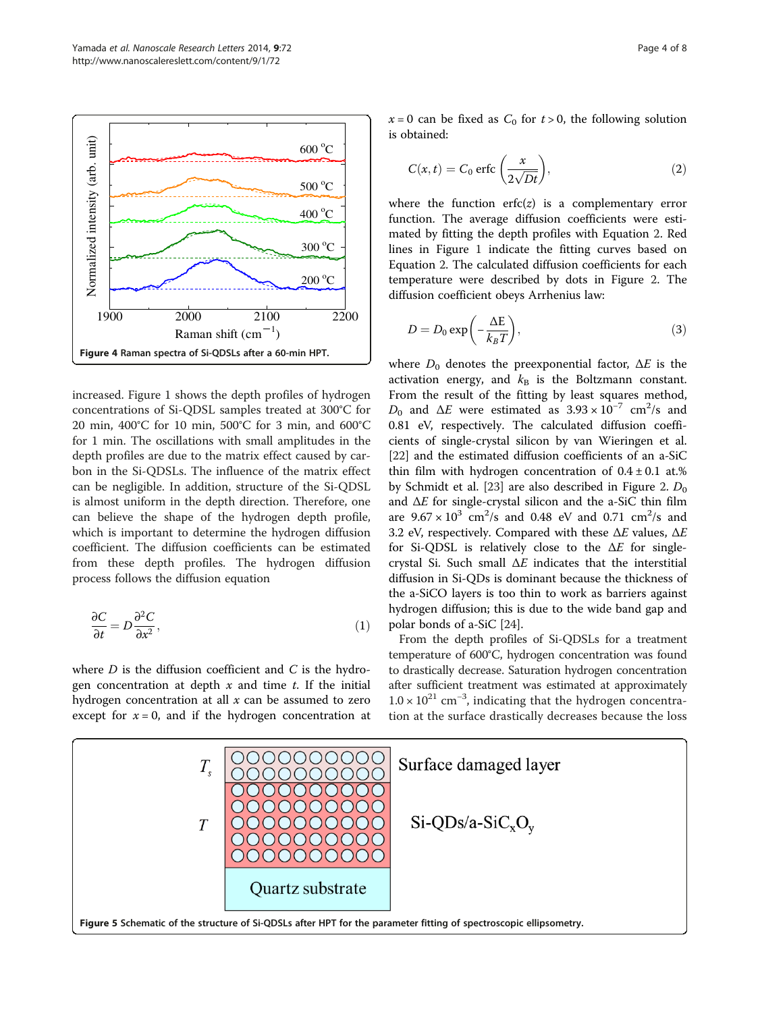<span id="page-3-0"></span>

increased. Figure [1](#page-1-0) shows the depth profiles of hydrogen concentrations of Si-QDSL samples treated at 300°C for 20 min, 400°C for 10 min, 500°C for 3 min, and 600°C for 1 min. The oscillations with small amplitudes in the depth profiles are due to the matrix effect caused by carbon in the Si-QDSLs. The influence of the matrix effect can be negligible. In addition, structure of the Si-QDSL is almost uniform in the depth direction. Therefore, one can believe the shape of the hydrogen depth profile, which is important to determine the hydrogen diffusion coefficient. The diffusion coefficients can be estimated from these depth profiles. The hydrogen diffusion process follows the diffusion equation

$$
\frac{\partial C}{\partial t} = D \frac{\partial^2 C}{\partial x^2},\tag{1}
$$

where  $D$  is the diffusion coefficient and  $C$  is the hydrogen concentration at depth  $x$  and time  $t$ . If the initial hydrogen concentration at all  $x$  can be assumed to zero except for  $x = 0$ , and if the hydrogen concentration at  $x = 0$  can be fixed as  $C_0$  for  $t > 0$ , the following solution is obtained:

$$
C(x,t) = C_0 \operatorname{erfc}\left(\frac{x}{2\sqrt{Dt}}\right),\tag{2}
$$

where the function  $erfc(z)$  is a complementary error function. The average diffusion coefficients were estimated by fitting the depth profiles with Equation 2. Red lines in Figure [1](#page-1-0) indicate the fitting curves based on Equation 2. The calculated diffusion coefficients for each temperature were described by dots in Figure [2](#page-2-0). The diffusion coefficient obeys Arrhenius law:

$$
D = D_0 \exp\left(-\frac{\Delta E}{k_B T}\right),\tag{3}
$$

where  $D_0$  denotes the preexponential factor,  $\Delta E$  is the activation energy, and  $k_B$  is the Boltzmann constant. From the result of the fitting by least squares method,  $D_0$  and  $\Delta E$  were estimated as  $3.93 \times 10^{-7}$  cm<sup>2</sup>/s and  $0.81$  eV respectively. The calculated diffusion coeffi-0.81 eV, respectively. The calculated diffusion coefficients of single-crystal silicon by van Wieringen et al. [[22\]](#page-7-0) and the estimated diffusion coefficients of an a-SiC thin film with hydrogen concentration of  $0.4 \pm 0.1$  at.% by Schmidt et al. [\[23\]](#page-7-0) are also described in Figure [2](#page-2-0).  $D_0$ and  $\Delta E$  for single-crystal silicon and the a-SiC thin film are  $9.67 \times 10^3$  cm<sup>2</sup>/s and 0.48 eV and 0.71 cm<sup>2</sup>/s and 3.2 eV, respectively. Compared with these  $\Delta E$  values,  $\Delta E$ for Si-QDSL is relatively close to the  $\Delta E$  for singlecrystal Si. Such small  $\Delta E$  indicates that the interstitial diffusion in Si-QDs is dominant because the thickness of the a-SiCO layers is too thin to work as barriers against hydrogen diffusion; this is due to the wide band gap and polar bonds of a-SiC [\[24\]](#page-7-0).

From the depth profiles of Si-QDSLs for a treatment temperature of 600°C, hydrogen concentration was found to drastically decrease. Saturation hydrogen concentration after sufficient treatment was estimated at approximately 1.0 × 10<sup>21</sup> cm<sup>-3</sup>, indicating that the hydrogen concentration at the surface drastically decreases because the loss

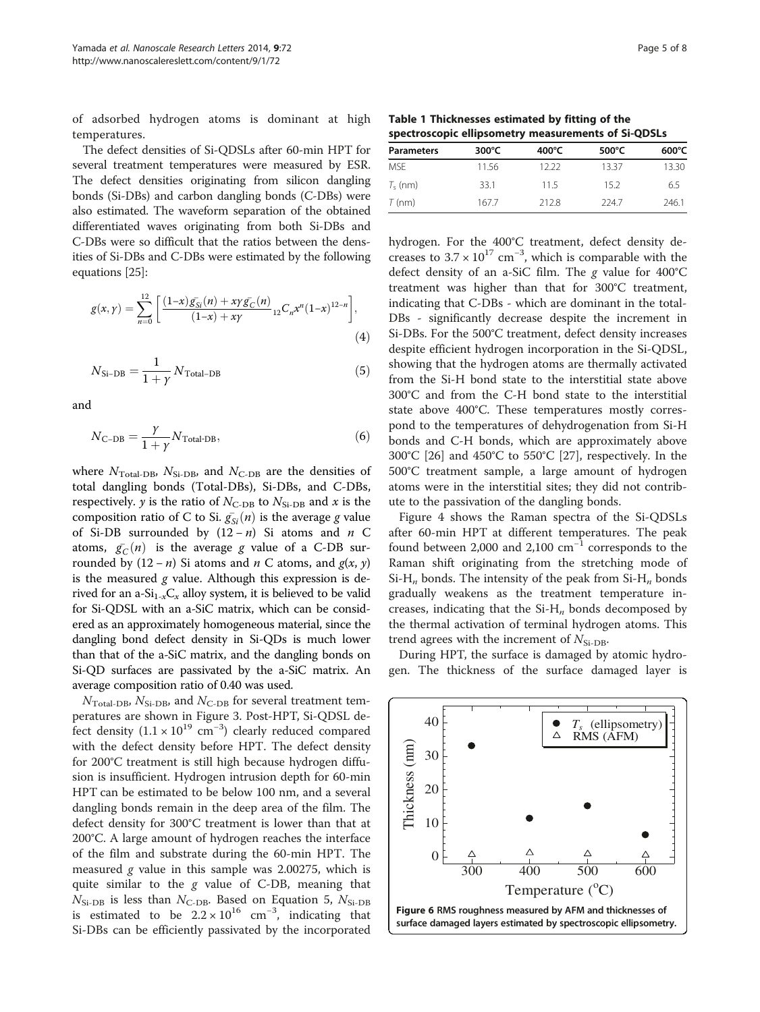<span id="page-4-0"></span>of adsorbed hydrogen atoms is dominant at high temperatures.

The defect densities of Si-QDSLs after 60-min HPT for several treatment temperatures were measured by ESR. The defect densities originating from silicon dangling bonds (Si-DBs) and carbon dangling bonds (C-DBs) were also estimated. The waveform separation of the obtained differentiated waves originating from both Si-DBs and C-DBs were so difficult that the ratios between the densities of Si-DBs and C-DBs were estimated by the following equations [[25](#page-7-0)]:

$$
g(x,\gamma) = \sum_{n=0}^{12} \left[ \frac{(1-x)g_{Si}(n) + xyg_{C}(n)}{(1-x) + xy} 12 C_n x^n (1-x)^{12-n} \right],
$$
\n(4)

$$
N_{\rm Si-DB} = \frac{1}{1+\gamma} N_{\rm Total-DB}
$$
\n(5)

and

$$
N_{\text{C-DB}} = \frac{\gamma}{1+\gamma} N_{\text{Total-DB}},\tag{6}
$$

where  $N_{\text{Total-DB}}$ ,  $N_{\text{Si-DB}}$ , and  $N_{\text{C-DB}}$  are the densities of total dangling bonds (Total-DBs), Si-DBs, and C-DBs, respectively. *y* is the ratio of  $N_{\text{C-DB}}$  to  $N_{\text{Si-DB}}$  and *x* is the composition ratio of C to Si.  $g_{Si}(n)$  is the average g value of Si-DB surrounded by  $(12 - n)$  Si atoms and n C atoms,  $g_C(n)$  is the average g value of a C-DB sur-<br>rounded by (12 - *n*) Si atoms and *n* C atoms and  $g(x, y)$ rounded by  $(12 - n)$  Si atoms and n C atoms, and  $g(x, y)$ is the measured  $g$  value. Although this expression is derived for an a-Si<sub>1-x</sub>C<sub>x</sub> alloy system, it is believed to be valid for Si-QDSL with an a-SiC matrix, which can be considered as an approximately homogeneous material, since the dangling bond defect density in Si-QDs is much lower than that of the a-SiC matrix, and the dangling bonds on Si-QD surfaces are passivated by the a-SiC matrix. An average composition ratio of 0.40 was used.

 $N_{\text{Total-DB}}$ ,  $N_{\text{Si-DB}}$ , and  $N_{\text{C-DB}}$  for several treatment temperatures are shown in Figure [3.](#page-2-0) Post-HPT, Si-QDSL defect density  $(1.1 \times 10^{19} \text{ cm}^{-3})$  clearly reduced compared with the defect density before HPT. The defect density for 200°C treatment is still high because hydrogen diffusion is insufficient. Hydrogen intrusion depth for 60-min HPT can be estimated to be below 100 nm, and a several dangling bonds remain in the deep area of the film. The defect density for 300°C treatment is lower than that at 200°C. A large amount of hydrogen reaches the interface of the film and substrate during the 60-min HPT. The measured  $g$  value in this sample was 2.00275, which is quite similar to the  $g$  value of C-DB, meaning that  $N_{\text{Si-DB}}$  is less than  $N_{\text{C-DB}}$ . Based on Equation 5,  $N_{\text{Si-DB}}$ is estimated to be  $2.2 \times 10^{16}$  cm<sup>-3</sup>, indicating that Si-DBs can be efficiently passivated by the incorporated

Table 1 Thicknesses estimated by fitting of the spectroscopic ellipsometry measurements of Si-QDSLs

| <b>Parameters</b> | $300^{\circ}$ C | 400°C | 500 $\degree$ C | $600^{\circ}$ C |
|-------------------|-----------------|-------|-----------------|-----------------|
| <b>MSF</b>        | 11.56           | 12.22 | 13.37           | 13.30           |
| $T_{\rm c}$ (nm)  | 33.1            | 11.5  | 15.2            | 6.5             |
| $T$ (nm)          | 167.7           | 212.8 | 2247            | 246.1           |

hydrogen. For the 400°C treatment, defect density decreases to  $3.7 \times 10^{17}$  cm<sup>-3</sup>, which is comparable with the defect density of an a-SiC film. The g value for 400°C treatment was higher than that for 300°C treatment, indicating that C-DBs - which are dominant in the total-DBs - significantly decrease despite the increment in Si-DBs. For the 500°C treatment, defect density increases despite efficient hydrogen incorporation in the Si-QDSL, showing that the hydrogen atoms are thermally activated from the Si-H bond state to the interstitial state above 300°C and from the C-H bond state to the interstitial state above 400°C. These temperatures mostly correspond to the temperatures of dehydrogenation from Si-H bonds and C-H bonds, which are approximately above 300°C [[26](#page-7-0)] and 450°C to 550°C [\[27](#page-7-0)], respectively. In the 500°C treatment sample, a large amount of hydrogen atoms were in the interstitial sites; they did not contribute to the passivation of the dangling bonds.

Figure [4](#page-3-0) shows the Raman spectra of the Si-QDSLs after 60-min HPT at different temperatures. The peak found between 2,000 and 2,100  $cm^{-1}$  corresponds to the Raman shift originating from the stretching mode of Si-H<sub>n</sub> bonds. The intensity of the peak from Si-H<sub>n</sub> bonds gradually weakens as the treatment temperature increases, indicating that the  $Si-H_n$  bonds decomposed by the thermal activation of terminal hydrogen atoms. This trend agrees with the increment of  $N_{Si-DB}$ .

During HPT, the surface is damaged by atomic hydrogen. The thickness of the surface damaged layer is

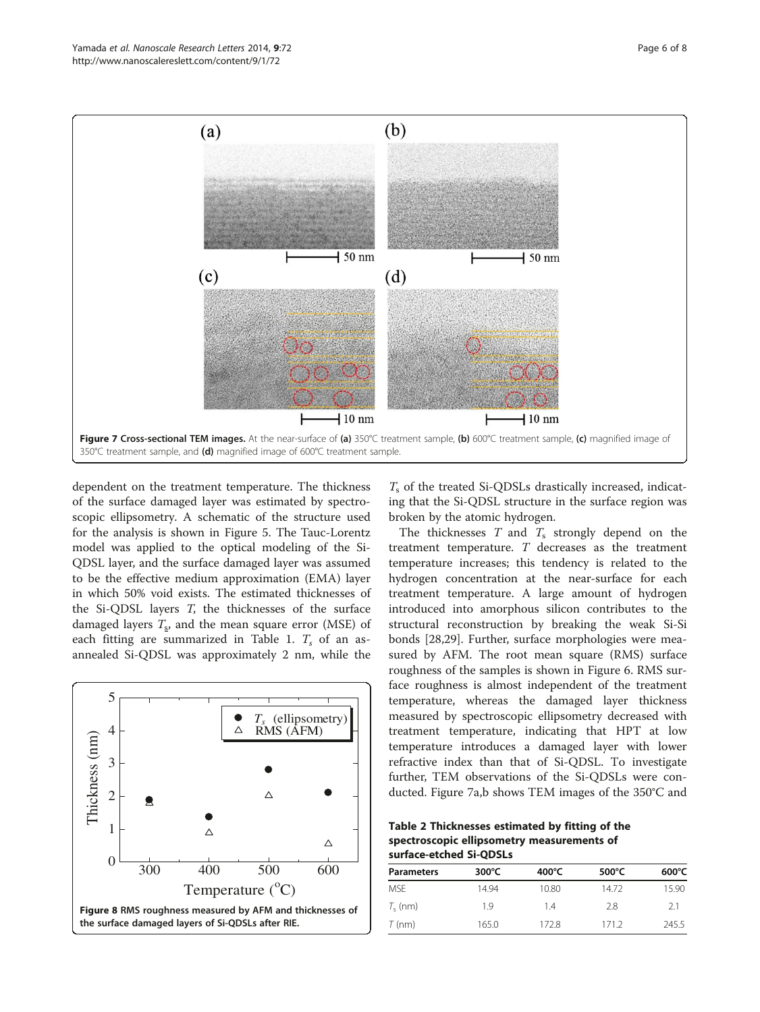<span id="page-5-0"></span>

dependent on the treatment temperature. The thickness of the surface damaged layer was estimated by spectroscopic ellipsometry. A schematic of the structure used for the analysis is shown in Figure [5](#page-3-0). The Tauc-Lorentz model was applied to the optical modeling of the Si-QDSL layer, and the surface damaged layer was assumed to be the effective medium approximation (EMA) layer in which 50% void exists. The estimated thicknesses of the Si-QDSL layers T, the thicknesses of the surface damaged layers  $T_s$ , and the mean square error (MSE) of each fitting are summarized in Table [1.](#page-4-0)  $T_s$  of an asannealed Si-QDSL was approximately 2 nm, while the



 $T<sub>s</sub>$  of the treated Si-QDSLs drastically increased, indicating that the Si-QDSL structure in the surface region was broken by the atomic hydrogen.

The thicknesses  $T$  and  $T_s$  strongly depend on the treatment temperature.  $T$  decreases as the treatment temperature increases; this tendency is related to the hydrogen concentration at the near-surface for each treatment temperature. A large amount of hydrogen introduced into amorphous silicon contributes to the structural reconstruction by breaking the weak Si-Si bonds [\[28,29](#page-7-0)]. Further, surface morphologies were measured by AFM. The root mean square (RMS) surface roughness of the samples is shown in Figure [6](#page-4-0). RMS surface roughness is almost independent of the treatment temperature, whereas the damaged layer thickness measured by spectroscopic ellipsometry decreased with treatment temperature, indicating that HPT at low temperature introduces a damaged layer with lower refractive index than that of Si-QDSL. To investigate further, TEM observations of the Si-QDSLs were conducted. Figure 7a,b shows TEM images of the 350°C and

Table 2 Thicknesses estimated by fitting of the spectroscopic ellipsometry measurements of surface-etched Si-QDSLs

| <b>Parameters</b> | $300^{\circ}$ C | 400 $\degree$ C | 500 $\degree$ C | $600^{\circ}$ C |
|-------------------|-----------------|-----------------|-----------------|-----------------|
| <b>MSF</b>        | 14.94           | 10.80           | 14.72           | 15.90           |
| $T_{\rm c}$ (nm)  | 19              | 14              | 2.8             | 21              |
| $T$ (nm)          | 165.0           | 172.8           | 1712            | 245.5           |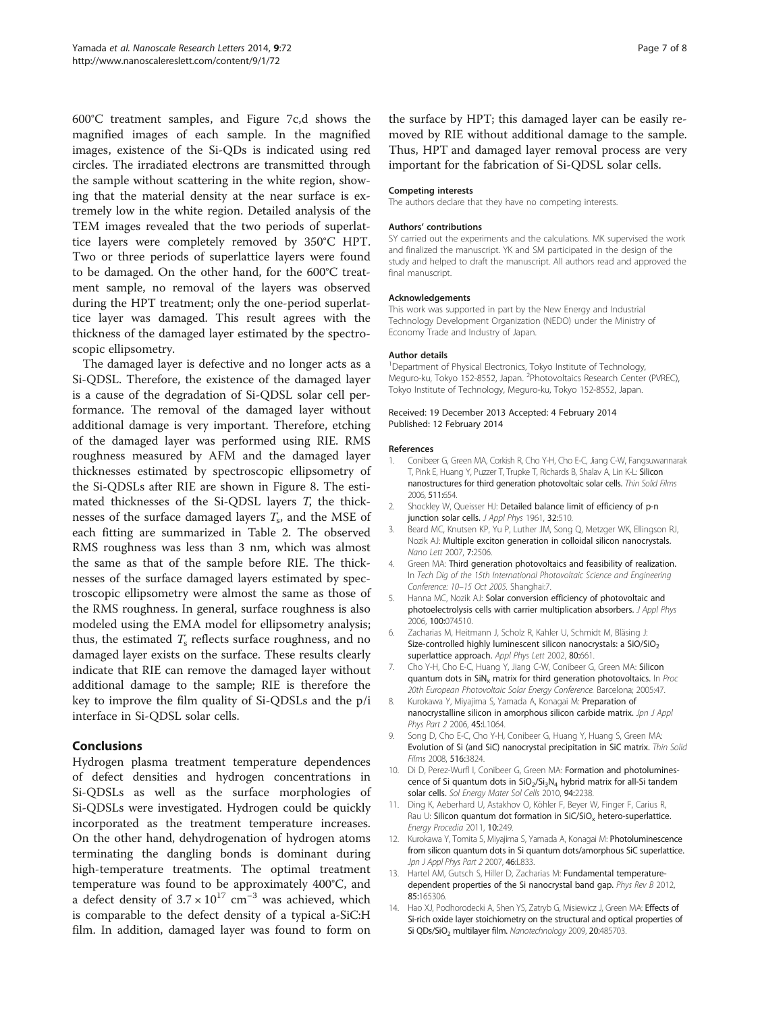<span id="page-6-0"></span>600°C treatment samples, and Figure [7c](#page-5-0),d shows the magnified images of each sample. In the magnified images, existence of the Si-QDs is indicated using red circles. The irradiated electrons are transmitted through the sample without scattering in the white region, showing that the material density at the near surface is extremely low in the white region. Detailed analysis of the TEM images revealed that the two periods of superlattice layers were completely removed by 350°C HPT. Two or three periods of superlattice layers were found to be damaged. On the other hand, for the 600°C treatment sample, no removal of the layers was observed during the HPT treatment; only the one-period superlattice layer was damaged. This result agrees with the thickness of the damaged layer estimated by the spectroscopic ellipsometry.

The damaged layer is defective and no longer acts as a Si-QDSL. Therefore, the existence of the damaged layer is a cause of the degradation of Si-QDSL solar cell performance. The removal of the damaged layer without additional damage is very important. Therefore, etching of the damaged layer was performed using RIE. RMS roughness measured by AFM and the damaged layer thicknesses estimated by spectroscopic ellipsometry of the Si-QDSLs after RIE are shown in Figure [8.](#page-5-0) The estimated thicknesses of the Si-QDSL layers T, the thicknesses of the surface damaged layers  $T_s$ , and the MSE of each fitting are summarized in Table [2](#page-5-0). The observed RMS roughness was less than 3 nm, which was almost the same as that of the sample before RIE. The thicknesses of the surface damaged layers estimated by spectroscopic ellipsometry were almost the same as those of the RMS roughness. In general, surface roughness is also modeled using the EMA model for ellipsometry analysis; thus, the estimated  $T_s$  reflects surface roughness, and no damaged layer exists on the surface. These results clearly indicate that RIE can remove the damaged layer without additional damage to the sample; RIE is therefore the key to improve the film quality of Si-QDSLs and the p/i interface in Si-QDSL solar cells.

## Conclusions

Hydrogen plasma treatment temperature dependences of defect densities and hydrogen concentrations in Si-QDSLs as well as the surface morphologies of Si-QDSLs were investigated. Hydrogen could be quickly incorporated as the treatment temperature increases. On the other hand, dehydrogenation of hydrogen atoms terminating the dangling bonds is dominant during high-temperature treatments. The optimal treatment temperature was found to be approximately 400°C, and a defect density of  $3.7 \times 10^{17}$  cm<sup>-3</sup> was achieved, which is comparable to the defect density of a typical a-SiC:H film. In addition, damaged layer was found to form on

#### Competing interests

The authors declare that they have no competing interests.

#### Authors' contributions

SY carried out the experiments and the calculations. MK supervised the work and finalized the manuscript. YK and SM participated in the design of the study and helped to draft the manuscript. All authors read and approved the final manuscript.

#### Acknowledgements

This work was supported in part by the New Energy and Industrial Technology Development Organization (NEDO) under the Ministry of Economy Trade and Industry of Japan.

#### Author details

<sup>1</sup>Department of Physical Electronics, Tokyo Institute of Technology, Meguro-ku, Tokyo 152-8552, Japan. <sup>2</sup>Photovoltaics Research Center (PVREC) Tokyo Institute of Technology, Meguro-ku, Tokyo 152-8552, Japan.

#### Received: 19 December 2013 Accepted: 4 February 2014 Published: 12 February 2014

#### References

- 1. Conibeer G, Green MA, Corkish R, Cho Y-H, Cho E-C, Jiang C-W, Fangsuwannarak T, Pink E, Huang Y, Puzzer T, Trupke T, Richards B, Shalav A, Lin K-L: Silicon nanostructures for third generation photovoltaic solar cells. Thin Solid Films 2006, 511:654.
- 2. Shockley W, Queisser HJ: Detailed balance limit of efficiency of p-n junction solar cells. J Appl Phys 1961, 32:510.
- 3. Beard MC, Knutsen KP, Yu P, Luther JM, Song Q, Metzger WK, Ellingson RJ, Nozik AJ: Multiple exciton generation in colloidal silicon nanocrystals. Nano Lett 2007, 7:2506.
- 4. Green MA: Third generation photovoltaics and feasibility of realization. In Tech Dig of the 15th International Photovoltaic Science and Engineering Conference: 10–15 Oct 2005. Shanghai:7.
- 5. Hanna MC, Nozik AJ: Solar conversion efficiency of photovoltaic and photoelectrolysis cells with carrier multiplication absorbers. J Appl Phys 2006, 100:074510.
- 6. Zacharias M, Heitmann J, Scholz R, Kahler U, Schmidt M, Bläsing J: Size-controlled highly luminescent silicon nanocrystals: a SiO/SiO<sub>2</sub> superlattice approach. Appl Phys Lett 2002, 80:661.
- 7. Cho Y-H, Cho E-C, Huang Y, Jiang C-W, Conibeer G, Green MA: Silicon quantum dots in SiN<sub>y</sub> matrix for third generation photovoltaics. In Proc 20th European Photovoltaic Solar Energy Conference. Barcelona; 2005:47.
- 8. Kurokawa Y, Miyajima S, Yamada A, Konagai M: Preparation of nanocrystalline silicon in amorphous silicon carbide matrix. Jpn J Appl Phys Part 2 2006, 45:L1064.
- 9. Song D, Cho E-C, Cho Y-H, Conibeer G, Huang Y, Huang S, Green MA: Evolution of Si (and SiC) nanocrystal precipitation in SiC matrix. Thin Solid Films 2008, 516:3824.
- 10. Di D, Perez-Wurfl I, Conibeer G, Green MA: Formation and photoluminescence of Si quantum dots in  $SiO_2/Si_3N_4$  hybrid matrix for all-Si tandem solar cells. Sol Energy Mater Sol Cells 2010, 94:2238.
- 11. Ding K, Aeberhard U, Astakhov O, Köhler F, Beyer W, Finger F, Carius R, Rau U: Silicon quantum dot formation in SiC/SiO<sub>x</sub> hetero-superlattice. Energy Procedia 2011, 10:249.
- 12. Kurokawa Y, Tomita S, Miyajima S, Yamada A, Konagai M: Photoluminescence from silicon quantum dots in Si quantum dots/amorphous SiC superlattice. Jpn J Appl Phys Part 2 2007, 46:L833.
- 13. Hartel AM, Gutsch S, Hiller D, Zacharias M: Fundamental temperaturedependent properties of the Si nanocrystal band gap. Phys Rev B 2012, 85:165306.
- 14. Hao XJ, Podhorodecki A, Shen YS, Zatryb G, Misiewicz J, Green MA: Effects of Si-rich oxide layer stoichiometry on the structural and optical properties of Si QDs/SiO<sub>2</sub> multilayer film. Nanotechnology 2009, 20:485703.